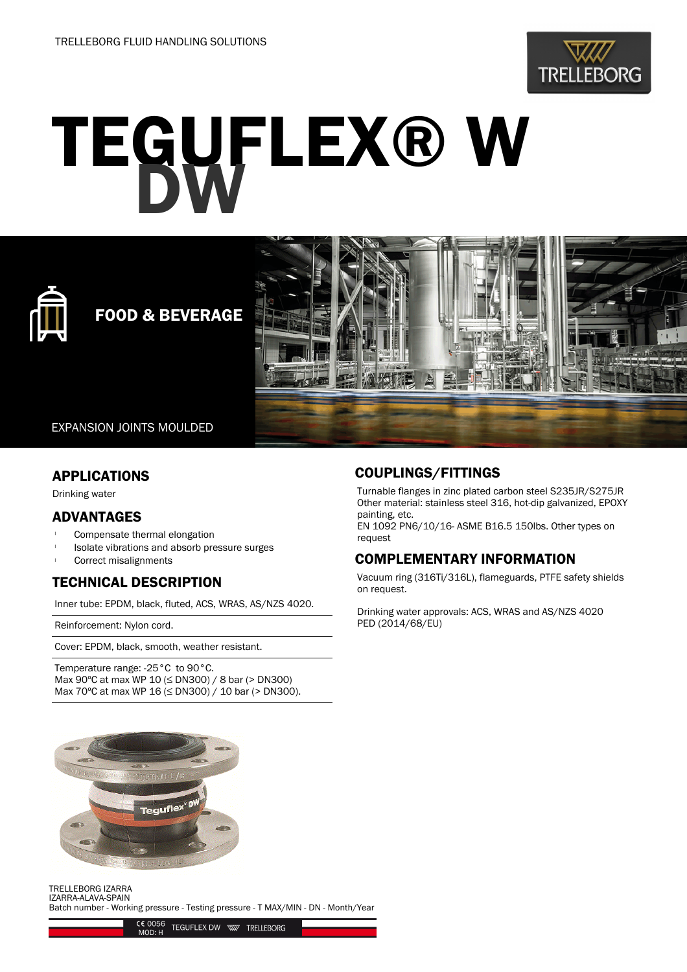

# TEGUFLEX® W



# FOOD & BEVERAGE



EXPANSION JOINTS MOULDED

### APPLICATIONS

Drinking water

# ADVANTAGES

- Compensate thermal elongation
- <sup>l</sup> Isolate vibrations and absorb pressure surges
- Correct misalignments

# TECHNICAL DESCRIPTION

Inner tube: EPDM, black, fluted, ACS, WRAS, AS/NZS 4020.

Reinforcement: Nylon cord.

Cover: EPDM, black, smooth, weather resistant.

Temperature range: -25°C to 90°C. Max 90ºC at max WP 10 (≤ DN300) / 8 bar (> DN300) Max 70<sup>o</sup>C at max WP 16 (≤ DN300) / 10 bar (> DN300).

### COUPLINGS/FITTINGS

Turnable flanges in zinc plated carbon steel S235JR/S275JR Other material: stainless steel 316, hot-dip galvanized, EPOXY painting, etc.

EN 1092 PN6/10/16- ASME B16.5 150lbs. Other types on request

# COMPLEMENTARY INFORMATION

Vacuum ring (316Ti/316L), flameguards, PTFE safety shields on request.

Drinking water approvals: ACS, WRAS and AS/NZS 4020 PED (2014/68/EU)



TRELLEBORG IZARRA IZARRA-ALAVA-SPAIN Batch number - Working pressure - Testing pressure - T MAX/MIN - DN - Month/Year

> C€ 0056<br>MOD: H